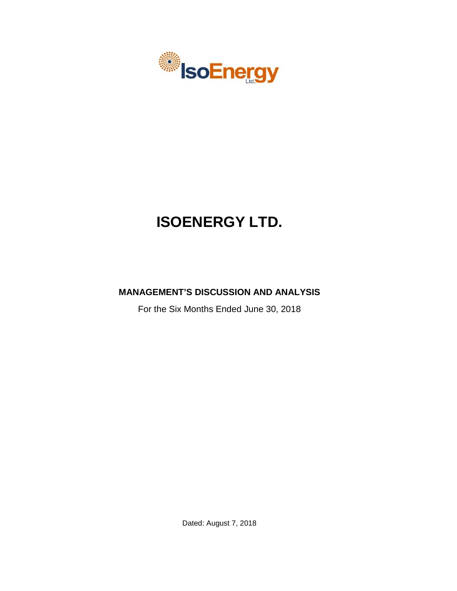

# **ISOENERGY LTD.**

# **MANAGEMENT'S DISCUSSION AND ANALYSIS**

For the Six Months Ended June 30, 2018

Dated: August 7, 2018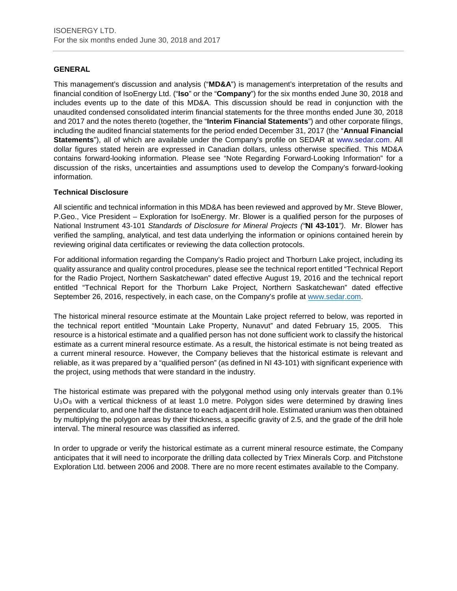# **GENERAL**

This management's discussion and analysis ("**MD&A**") is management's interpretation of the results and financial condition of IsoEnergy Ltd. ("**Iso**" or the "**Company**") for the six months ended June 30, 2018 and includes events up to the date of this MD&A. This discussion should be read in conjunction with the unaudited condensed consolidated interim financial statements for the three months ended June 30, 2018 and 2017 and the notes thereto (together, the "**Interim Financial Statements**") and other corporate filings, including the audited financial statements for the period ended December 31, 2017 (the "**Annual Financial Statements**"), all of which are available under the Company's profile on SEDAR at www.sedar.com. All dollar figures stated herein are expressed in Canadian dollars, unless otherwise specified. This MD&A contains forward-looking information. Please see "Note Regarding Forward-Looking Information" for a discussion of the risks, uncertainties and assumptions used to develop the Company's forward-looking information.

# **Technical Disclosure**

All scientific and technical information in this MD&A has been reviewed and approved by Mr. Steve Blower, P.Geo., Vice President – Exploration for IsoEnergy. Mr. Blower is a qualified person for the purposes of National Instrument 43-101 *Standards of Disclosure for Mineral Projects ("***NI 43-101***")*. Mr. Blower has verified the sampling, analytical, and test data underlying the information or opinions contained herein by reviewing original data certificates or reviewing the data collection protocols.

For additional information regarding the Company's Radio project and Thorburn Lake project, including its quality assurance and quality control procedures, please see the technical report entitled "Technical Report for the Radio Project, Northern Saskatchewan" dated effective August 19, 2016 and the technical report entitled "Technical Report for the Thorburn Lake Project, Northern Saskatchewan" dated effective September 26, 2016, respectively, in each case, on the Company's profile at [www.sedar.com.](http://www.sedar.com/)

The historical mineral resource estimate at the Mountain Lake project referred to below, was reported in the technical report entitled "Mountain Lake Property, Nunavut" and dated February 15, 2005. This resource is a historical estimate and a qualified person has not done sufficient work to classify the historical estimate as a current mineral resource estimate. As a result, the historical estimate is not being treated as a current mineral resource. However, the Company believes that the historical estimate is relevant and reliable, as it was prepared by a "qualified person" (as defined in NI 43-101) with significant experience with the project, using methods that were standard in the industry.

The historical estimate was prepared with the polygonal method using only intervals greater than 0.1%  $U_3O_8$  with a vertical thickness of at least 1.0 metre. Polygon sides were determined by drawing lines perpendicular to, and one half the distance to each adjacent drill hole. Estimated uranium was then obtained by multiplying the polygon areas by their thickness, a specific gravity of 2.5, and the grade of the drill hole interval. The mineral resource was classified as inferred.

In order to upgrade or verify the historical estimate as a current mineral resource estimate, the Company anticipates that it will need to incorporate the drilling data collected by Triex Minerals Corp. and Pitchstone Exploration Ltd. between 2006 and 2008. There are no more recent estimates available to the Company.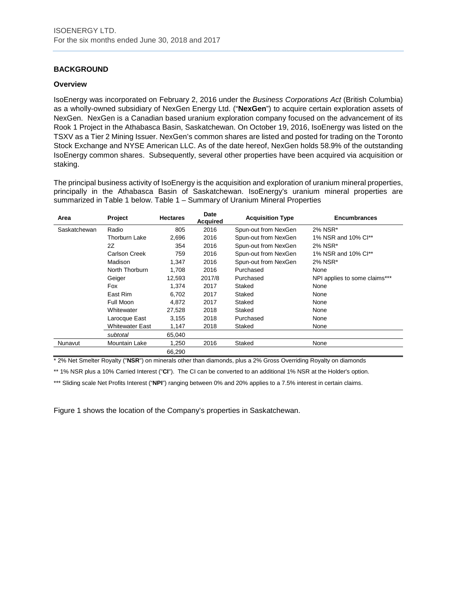# **BACKGROUND**

#### **Overview**

IsoEnergy was incorporated on February 2, 2016 under the *Business Corporations Act* (British Columbia) as a wholly-owned subsidiary of NexGen Energy Ltd. ("**NexGen**") to acquire certain exploration assets of NexGen. NexGen is a Canadian based uranium exploration company focused on the advancement of its Rook 1 Project in the Athabasca Basin, Saskatchewan. On October 19, 2016, IsoEnergy was listed on the TSXV as a Tier 2 Mining Issuer. NexGen's common shares are listed and posted for trading on the Toronto Stock Exchange and NYSE American LLC. As of the date hereof, NexGen holds 58.9% of the outstanding IsoEnergy common shares. Subsequently, several other properties have been acquired via acquisition or staking.

The principal business activity of IsoEnergy is the acquisition and exploration of uranium mineral properties, principally in the Athabasca Basin of Saskatchewan. IsoEnergy's uranium mineral properties are summarized in Table 1 below. Table 1 – Summary of Uranium Mineral Properties

| Area         | Project              | <b>Hectares</b> | Date<br><b>Acquired</b> | <b>Acquisition Type</b> | <b>Encumbrances</b>           |
|--------------|----------------------|-----------------|-------------------------|-------------------------|-------------------------------|
| Saskatchewan | Radio                | 805             | 2016                    | Spun-out from NexGen    | 2% NSR*                       |
|              | <b>Thorburn Lake</b> | 2,696           | 2016                    | Spun-out from NexGen    | 1% NSR and 10% Cl**           |
|              | 2Z                   | 354             | 2016                    | Spun-out from NexGen    | 2% NSR*                       |
|              | Carlson Creek        | 759             | 2016                    | Spun-out from NexGen    | 1% NSR and 10% Cl**           |
|              | Madison              | 1,347           | 2016                    | Spun-out from NexGen    | 2% NSR*                       |
|              | North Thorburn       | 1.708           | 2016                    | Purchased               | None                          |
|              | Geiger               | 12,593          | 2017/8                  | Purchased               | NPI applies to some claims*** |
|              | Fox                  | 1,374           | 2017                    | Staked                  | None                          |
|              | East Rim             | 6,702           | 2017                    | Staked                  | None                          |
|              | Full Moon            | 4,872           | 2017                    | Staked                  | None                          |
|              | Whitewater           | 27,528          | 2018                    | Staked                  | None                          |
|              | Larocque East        | 3,155           | 2018                    | Purchased               | None                          |
|              | Whitewater East      | 1,147           | 2018                    | Staked                  | None                          |
|              | subtotal             | 65,040          |                         |                         |                               |
| Nunavut      | Mountain Lake        | 1,250           | 2016                    | Staked                  | None                          |
|              |                      | 66,290          |                         |                         |                               |

\* 2% Net Smelter Royalty ("**NSR**") on minerals other than diamonds, plus a 2% Gross Overriding Royalty on diamonds

\*\* 1% NSR plus a 10% Carried Interest ("**CI**"). The CI can be converted to an additional 1% NSR at the Holder's option.

\*\*\* Sliding scale Net Profits Interest ("NPI") ranging between 0% and 20% applies to a 7.5% interest in certain claims.

Figure 1 shows the location of the Company's properties in Saskatchewan.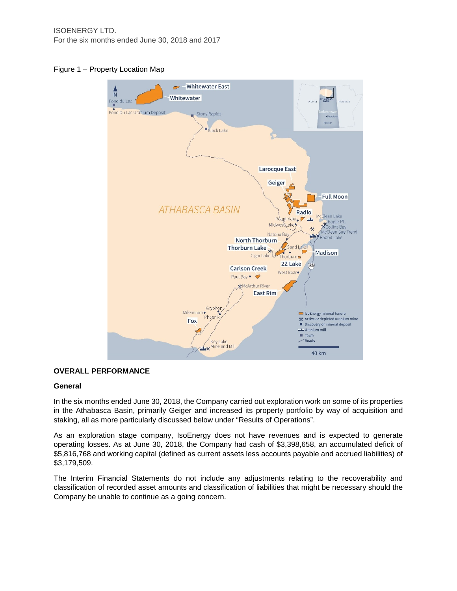# Figure 1 – Property Location Map



# **OVERALL PERFORMANCE**

#### **General**

In the six months ended June 30, 2018, the Company carried out exploration work on some of its properties in the Athabasca Basin, primarily Geiger and increased its property portfolio by way of acquisition and staking, all as more particularly discussed below under "Results of Operations".

As an exploration stage company, IsoEnergy does not have revenues and is expected to generate operating losses. As at June 30, 2018, the Company had cash of \$3,398,658, an accumulated deficit of \$5,816,768 and working capital (defined as current assets less accounts payable and accrued liabilities) of \$3,179,509.

The Interim Financial Statements do not include any adjustments relating to the recoverability and classification of recorded asset amounts and classification of liabilities that might be necessary should the Company be unable to continue as a going concern.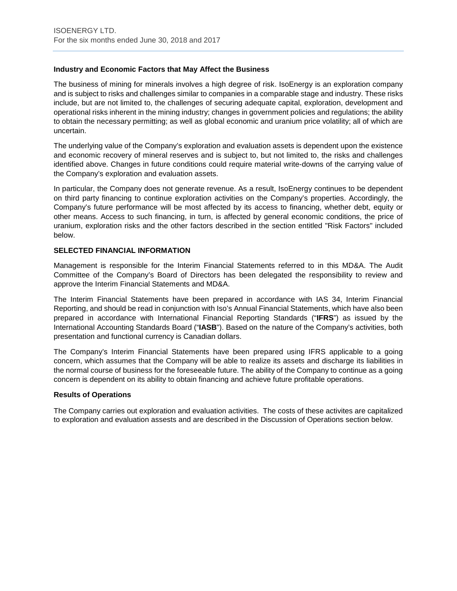# **Industry and Economic Factors that May Affect the Business**

The business of mining for minerals involves a high degree of risk. IsoEnergy is an exploration company and is subject to risks and challenges similar to companies in a comparable stage and industry. These risks include, but are not limited to, the challenges of securing adequate capital, exploration, development and operational risks inherent in the mining industry; changes in government policies and regulations; the ability to obtain the necessary permitting; as well as global economic and uranium price volatility; all of which are uncertain.

The underlying value of the Company's exploration and evaluation assets is dependent upon the existence and economic recovery of mineral reserves and is subject to, but not limited to, the risks and challenges identified above. Changes in future conditions could require material write-downs of the carrying value of the Company's exploration and evaluation assets.

In particular, the Company does not generate revenue. As a result, IsoEnergy continues to be dependent on third party financing to continue exploration activities on the Company's properties. Accordingly, the Company's future performance will be most affected by its access to financing, whether debt, equity or other means. Access to such financing, in turn, is affected by general economic conditions, the price of uranium, exploration risks and the other factors described in the section entitled "Risk Factors" included below.

# **SELECTED FINANCIAL INFORMATION**

Management is responsible for the Interim Financial Statements referred to in this MD&A. The Audit Committee of the Company's Board of Directors has been delegated the responsibility to review and approve the Interim Financial Statements and MD&A.

The Interim Financial Statements have been prepared in accordance with IAS 34, Interim Financial Reporting, and should be read in conjunction with Iso's Annual Financial Statements, which have also been prepared in accordance with International Financial Reporting Standards ("**IFRS**") as issued by the International Accounting Standards Board ("**IASB**"). Based on the nature of the Company's activities, both presentation and functional currency is Canadian dollars.

The Company's Interim Financial Statements have been prepared using IFRS applicable to a going concern, which assumes that the Company will be able to realize its assets and discharge its liabilities in the normal course of business for the foreseeable future. The ability of the Company to continue as a going concern is dependent on its ability to obtain financing and achieve future profitable operations.

#### **Results of Operations**

The Company carries out exploration and evaluation activities. The costs of these activites are capitalized to exploration and evaluation assests and are described in the Discussion of Operations section below.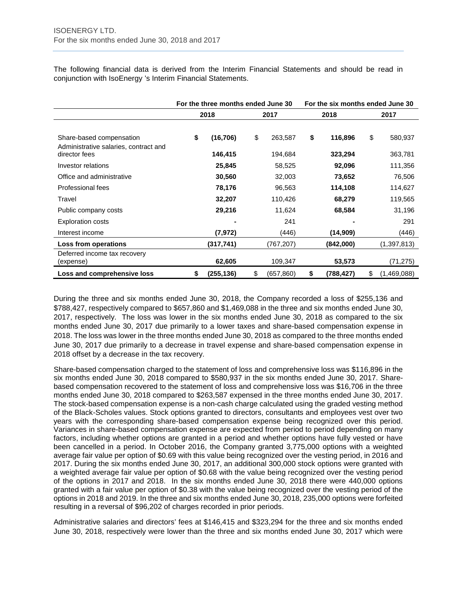The following financial data is derived from the Interim Financial Statements and should be read in conjunction with IsoEnergy 's Interim Financial Statements.

|                                                                   | For the three months ended June 30 |    | For the six months ended June 30 |    |            |      |               |
|-------------------------------------------------------------------|------------------------------------|----|----------------------------------|----|------------|------|---------------|
|                                                                   | 2018                               |    | 2017                             |    | 2018       | 2017 |               |
|                                                                   |                                    |    |                                  |    |            |      |               |
| Share-based compensation<br>Administrative salaries, contract and | \$<br>(16, 706)                    | \$ | 263,587                          | \$ | 116,896    | \$   | 580,937       |
| director fees                                                     | 146,415                            |    | 194,684                          |    | 323,294    |      | 363,781       |
| Investor relations                                                | 25,845                             |    | 58,525                           |    | 92,096     |      | 111,356       |
| Office and administrative                                         | 30,560                             |    | 32,003                           |    | 73,652     |      | 76,506        |
| Professional fees                                                 | 78,176                             |    | 96,563                           |    | 114,108    |      | 114,627       |
| Travel                                                            | 32,207                             |    | 110,426                          |    | 68,279     |      | 119,565       |
| Public company costs                                              | 29,216                             |    | 11,624                           |    | 68,584     |      | 31,196        |
| <b>Exploration costs</b>                                          |                                    |    | 241                              |    |            |      | 291           |
| Interest income                                                   | (7, 972)                           |    | (446)                            |    | (14,909)   |      | (446)         |
| Loss from operations                                              | (317, 741)                         |    | (767, 207)                       |    | (842,000)  |      | (1, 397, 813) |
| Deferred income tax recovery<br>(expense)                         | 62,605                             |    | 109,347                          |    | 53,573     |      | (71, 275)     |
| Loss and comprehensive loss                                       | \$<br>(255, 136)                   | \$ | (657, 860)                       | \$ | (788, 427) | \$   | (1,469,088)   |

During the three and six months ended June 30, 2018, the Company recorded a loss of \$255,136 and \$788,427, respectively compared to \$657,860 and \$1,469,088 in the three and six months ended June 30, 2017, respectively. The loss was lower in the six months ended June 30, 2018 as compared to the six months ended June 30, 2017 due primarily to a lower taxes and share-based compensation expense in 2018. The loss was lower in the three months ended June 30, 2018 as compared to the three months ended June 30, 2017 due primarily to a decrease in travel expense and share-based compensation expense in 2018 offset by a decrease in the tax recovery.

Share-based compensation charged to the statement of loss and comprehensive loss was \$116,896 in the six months ended June 30, 2018 compared to \$580,937 in the six months ended June 30, 2017. Sharebased compensation recovered to the statement of loss and comprehensive loss was \$16,706 in the three months ended June 30, 2018 compared to \$263,587 expensed in the three months ended June 30, 2017. The stock-based compensation expense is a non-cash charge calculated using the graded vesting method of the Black-Scholes values. Stock options granted to directors, consultants and employees vest over two years with the corresponding share-based compensation expense being recognized over this period. Variances in share-based compensation expense are expected from period to period depending on many factors, including whether options are granted in a period and whether options have fully vested or have been cancelled in a period. In October 2016, the Company granted 3,775,000 options with a weighted average fair value per option of \$0.69 with this value being recognized over the vesting period, in 2016 and 2017. During the six months ended June 30, 2017, an additional 300,000 stock options were granted with a weighted average fair value per option of \$0.68 with the value being recognized over the vesting period of the options in 2017 and 2018. In the six months ended June 30, 2018 there were 440,000 options granted with a fair value per option of \$0.38 with the value being recognized over the vesting period of the options in 2018 and 2019. In the three and six months ended June 30, 2018, 235,000 options were forfeited resulting in a reversal of \$96,202 of charges recorded in prior periods.

Administrative salaries and directors' fees at \$146,415 and \$323,294 for the three and six months ended June 30, 2018, respectively were lower than the three and six months ended June 30, 2017 which were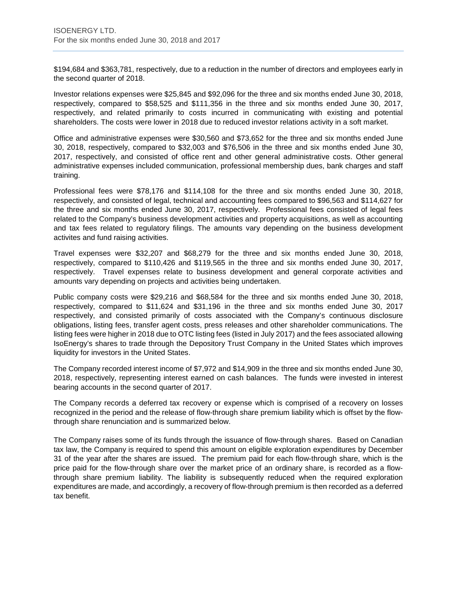\$194,684 and \$363,781, respectively, due to a reduction in the number of directors and employees early in the second quarter of 2018.

Investor relations expenses were \$25,845 and \$92,096 for the three and six months ended June 30, 2018, respectively, compared to \$58,525 and \$111,356 in the three and six months ended June 30, 2017, respectively, and related primarily to costs incurred in communicating with existing and potential shareholders. The costs were lower in 2018 due to reduced investor relations activity in a soft market.

Office and administrative expenses were \$30,560 and \$73,652 for the three and six months ended June 30, 2018, respectively, compared to \$32,003 and \$76,506 in the three and six months ended June 30, 2017, respectively, and consisted of office rent and other general administrative costs. Other general administrative expenses included communication, professional membership dues, bank charges and staff training.

Professional fees were \$78,176 and \$114,108 for the three and six months ended June 30, 2018, respectively, and consisted of legal, technical and accounting fees compared to \$96,563 and \$114,627 for the three and six months ended June 30, 2017, respectively. Professional fees consisted of legal fees related to the Company's business development activities and property acquisitions, as well as accounting and tax fees related to regulatory filings. The amounts vary depending on the business development activites and fund raising activities.

Travel expenses were \$32,207 and \$68,279 for the three and six months ended June 30, 2018, respectively, compared to \$110,426 and \$119,565 in the three and six months ended June 30, 2017, respectively. Travel expenses relate to business development and general corporate activities and amounts vary depending on projects and activities being undertaken.

Public company costs were \$29,216 and \$68,584 for the three and six months ended June 30, 2018, respectively, compared to \$11,624 and \$31,196 in the three and six months ended June 30, 2017 respectively, and consisted primarily of costs associated with the Company's continuous disclosure obligations, listing fees, transfer agent costs, press releases and other shareholder communications. The listing fees were higher in 2018 due to OTC listing fees (listed in July 2017) and the fees associated allowing IsoEnergy's shares to trade through the Depository Trust Company in the United States which improves liquidity for investors in the United States.

The Company recorded interest income of \$7,972 and \$14,909 in the three and six months ended June 30, 2018, respectively, representing interest earned on cash balances. The funds were invested in interest bearing accounts in the second quarter of 2017.

The Company records a deferred tax recovery or expense which is comprised of a recovery on losses recognized in the period and the release of flow-through share premium liability which is offset by the flowthrough share renunciation and is summarized below.

The Company raises some of its funds through the issuance of flow-through shares. Based on Canadian tax law, the Company is required to spend this amount on eligible exploration expenditures by December 31 of the year after the shares are issued. The premium paid for each flow-through share, which is the price paid for the flow-through share over the market price of an ordinary share, is recorded as a flowthrough share premium liability. The liability is subsequently reduced when the required exploration expenditures are made, and accordingly, a recovery of flow-through premium is then recorded as a deferred tax benefit.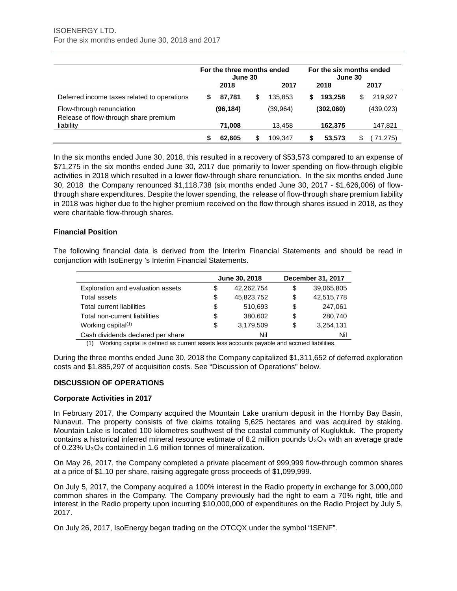|                                                                    | For the three months ended<br>June 30 |           |    |           | For the six months ended<br>June 30 |           |      |            |
|--------------------------------------------------------------------|---------------------------------------|-----------|----|-----------|-------------------------------------|-----------|------|------------|
|                                                                    | 2018                                  |           |    | 2017      |                                     | 2018      | 2017 |            |
| Deferred income taxes related to operations                        |                                       | 87.781    | \$ | 135.853   | S                                   | 193.258   | \$   | 219.927    |
| Flow-through renunciation<br>Release of flow-through share premium |                                       | (96, 184) |    | (39, 964) |                                     | (302,060) |      | (439, 023) |
| liability                                                          |                                       | 71,008    |    | 13.458    |                                     | 162,375   |      | 147,821    |
|                                                                    |                                       | 62,605    |    | 109.347   |                                     | 53.573    | \$   | 71,275)    |

In the six months ended June 30, 2018, this resulted in a recovery of \$53,573 compared to an expense of \$71,275 in the six months ended June 30, 2017 due primarily to lower spending on flow-through eligible activities in 2018 which resulted in a lower flow-through share renunciation. In the six months ended June 30, 2018 the Company renounced \$1,118,738 (six months ended June 30, 2017 - \$1,626,006) of flowthrough share expenditures. Despite the lower spending, the release of flow-through share premium liability in 2018 was higher due to the higher premium received on the flow through shares issued in 2018, as they were charitable flow-through shares.

# **Financial Position**

The following financial data is derived from the Interim Financial Statements and should be read in conjunction with IsoEnergy 's Interim Financial Statements.

|                                                                                                |    | June 30, 2018 |    | December 31, 2017 |  |  |
|------------------------------------------------------------------------------------------------|----|---------------|----|-------------------|--|--|
| Exploration and evaluation assets                                                              | \$ | 42.262.754    | \$ | 39,065,805        |  |  |
| <b>Total assets</b>                                                                            | \$ | 45,823,752    | \$ | 42,515,778        |  |  |
| <b>Total current liabilities</b>                                                               | \$ | 510.693       | \$ | 247.061           |  |  |
| Total non-current liabilities                                                                  | \$ | 380.602       | \$ | 280.740           |  |  |
| Working capital $(1)$                                                                          | \$ | 3.179.509     | \$ | 3.254.131         |  |  |
| Cash dividends declared per share                                                              |    | Nil           |    | Nil               |  |  |
| (1) Morking copital is defined as current assets less accounts payable and accrued liabilities |    |               |    |                   |  |  |

(1) Working capital is defined as current assets less accounts payable and accrued liabilities.

During the three months ended June 30, 2018 the Company capitalized \$1,311,652 of deferred exploration costs and \$1,885,297 of acquisition costs. See "Discussion of Operations" below.

#### **DISCUSSION OF OPERATIONS**

#### **Corporate Activities in 2017**

In February 2017, the Company acquired the Mountain Lake uranium deposit in the Hornby Bay Basin, Nunavut. The property consists of five claims totaling 5,625 hectares and was acquired by staking. Mountain Lake is located 100 kilometres southwest of the coastal community of Kugluktuk. The property contains a historical inferred mineral resource estimate of 8.2 million pounds  $U_3O_8$  with an average grade of 0.23%  $U_3O_8$  contained in 1.6 million tonnes of mineralization.

On May 26, 2017, the Company completed a private placement of 999,999 flow-through common shares at a price of \$1.10 per share, raising aggregate gross proceeds of \$1,099,999.

On July 5, 2017, the Company acquired a 100% interest in the Radio property in exchange for 3,000,000 common shares in the Company. The Company previously had the right to earn a 70% right, title and interest in the Radio property upon incurring \$10,000,000 of expenditures on the Radio Project by July 5, 2017.

On July 26, 2017, IsoEnergy began trading on the OTCQX under the symbol "ISENF".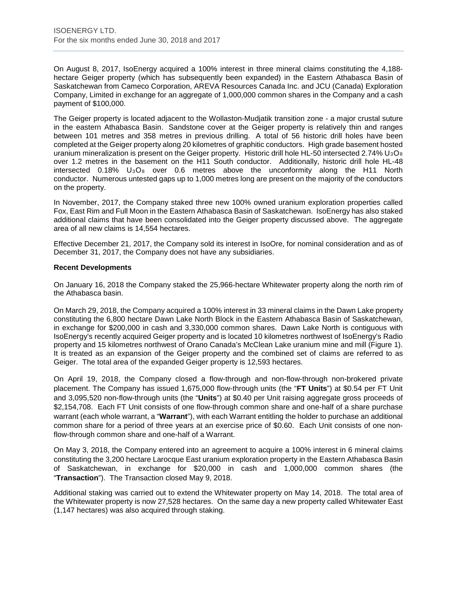On August 8, 2017, IsoEnergy acquired a 100% interest in three mineral claims constituting the 4,188 hectare Geiger property (which has subsequently been expanded) in the Eastern Athabasca Basin of Saskatchewan from Cameco Corporation, AREVA Resources Canada Inc. and JCU (Canada) Exploration Company, Limited in exchange for an aggregate of 1,000,000 common shares in the Company and a cash payment of \$100,000.

The Geiger property is located adjacent to the Wollaston-Mudjatik transition zone - a major crustal suture in the eastern Athabasca Basin. Sandstone cover at the Geiger property is relatively thin and ranges between 101 metres and 358 metres in previous drilling. A total of 56 historic drill holes have been completed at the Geiger property along 20 kilometres of graphitic conductors. High grade basement hosted uranium mineralization is present on the Geiger property. Historic drill hole HL-50 intersected 2.74%  $U_3O_8$ over 1.2 metres in the basement on the H11 South conductor. Additionally, historic drill hole HL-48 intersected  $0.18\%$  U<sub>3</sub>O<sub>8</sub> over 0.6 metres above the unconformity along the H11 North conductor. Numerous untested gaps up to 1,000 metres long are present on the majority of the conductors on the property.

In November, 2017, the Company staked three new 100% owned uranium exploration properties called Fox, East Rim and Full Moon in the Eastern Athabasca Basin of Saskatchewan. IsoEnergy has also staked additional claims that have been consolidated into the Geiger property discussed above. The aggregate area of all new claims is 14,554 hectares.

Effective December 21, 2017, the Company sold its interest in IsoOre, for nominal consideration and as of December 31, 2017, the Company does not have any subsidiaries.

#### **Recent Developments**

On January 16, 2018 the Company staked the 25,966-hectare Whitewater property along the north rim of the Athabasca basin.

On March 29, 2018, the Company acquired a 100% interest in 33 mineral claims in the Dawn Lake property constituting the 6,800 hectare Dawn Lake North Block in the Eastern Athabasca Basin of Saskatchewan, in exchange for \$200,000 in cash and 3,330,000 common shares. Dawn Lake North is contiguous with IsoEnergy's recently acquired Geiger property and is located 10 kilometres northwest of IsoEnergy's Radio property and 15 kilometres northwest of Orano Canada's McClean Lake uranium mine and mill (Figure 1). It is treated as an expansion of the Geiger property and the combined set of claims are referred to as Geiger. The total area of the expanded Geiger property is 12,593 hectares.

On April 19, 2018, the Company closed a flow-through and non-flow-through non-brokered private placement. The Company has issued 1,675,000 flow-through units (the "**FT Units**") at \$0.54 per FT Unit and 3,095,520 non-flow-through units (the "**Units**") at \$0.40 per Unit raising aggregate gross proceeds of \$2,154,708. Each FT Unit consists of one flow-through common share and one-half of a share purchase warrant (each whole warrant, a "**Warrant**"), with each Warrant entitling the holder to purchase an additional common share for a period of three years at an exercise price of \$0.60. Each Unit consists of one nonflow-through common share and one-half of a Warrant.

On May 3, 2018, the Company entered into an agreement to acquire a 100% interest in 6 mineral claims constituting the 3,200 hectare Larocque East uranium exploration property in the Eastern Athabasca Basin of Saskatchewan, in exchange for \$20,000 in cash and 1,000,000 common shares (the "**Transaction**"). The Transaction closed May 9, 2018.

Additional staking was carried out to extend the Whitewater property on May 14, 2018. The total area of the Whitewater property is now 27,528 hectares. On the same day a new property called Whitewater East (1,147 hectares) was also acquired through staking.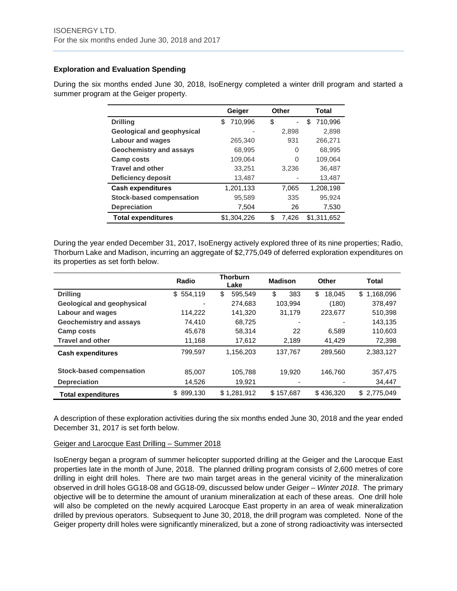# **Exploration and Evaluation Spending**

During the six months ended June 30, 2018, IsoEnergy completed a winter drill program and started a summer program at the Geiger property.

|                                 | Geiger        | Other       | Total         |
|---------------------------------|---------------|-------------|---------------|
| <b>Drilling</b>                 | 710,996<br>\$ | \$          | 710.996<br>\$ |
| Geological and geophysical      |               | 2,898       | 2,898         |
| <b>Labour and wages</b>         | 265,340       | 931         | 266,271       |
| <b>Geochemistry and assays</b>  | 68,995        | 0           | 68,995        |
| Camp costs                      | 109,064       | 0           | 109,064       |
| <b>Travel and other</b>         | 33,251        | 3.236       | 36,487        |
| <b>Deficiency deposit</b>       | 13,487        |             | 13,487        |
| <b>Cash expenditures</b>        | 1,201,133     | 7,065       | 1,208,198     |
| <b>Stock-based compensation</b> | 95,589        | 335         | 95,924        |
| <b>Depreciation</b>             | 7,504         | 26          | 7,530         |
| <b>Total expenditures</b>       | \$1.304.226   | \$<br>7.426 | \$1,311,652   |

During the year ended December 31, 2017, IsoEnergy actively explored three of its nine properties; Radio, Thorburn Lake and Madison, incurring an aggregate of \$2,775,049 of deferred exploration expenditures on its properties as set forth below.

|                                 | Radio                    | <b>Thorburn</b><br>Lake | <b>Madison</b> | Other        | Total           |
|---------------------------------|--------------------------|-------------------------|----------------|--------------|-----------------|
| <b>Drilling</b>                 | \$554,119                | \$<br>595.549           | \$<br>383      | \$<br>18,045 | 1,168,096<br>\$ |
| Geological and geophysical      | $\overline{\phantom{0}}$ | 274.683                 | 103.994        | (180)        | 378,497         |
| <b>Labour and wages</b>         | 114.222                  | 141,320                 | 31,179         | 223,677      | 510,398         |
| <b>Geochemistry and assays</b>  | 74,410                   | 68,725                  | -              |              | 143,135         |
| Camp costs                      | 45,678                   | 58,314                  | 22             | 6.589        | 110,603         |
| <b>Travel and other</b>         | 11,168                   | 17,612                  | 2,189          | 41,429       | 72,398          |
| <b>Cash expenditures</b>        | 799,597                  | 1,156,203               | 137,767        | 289,560      | 2,383,127       |
| <b>Stock-based compensation</b> | 85,007                   | 105,788                 | 19.920         | 146,760      | 357,475         |
| <b>Depreciation</b>             | 14,526                   | 19,921                  |                |              | 34,447          |
| <b>Total expenditures</b>       | 899,130<br>\$            | \$1,281,912             | \$157,687      | \$436,320    | \$2,775,049     |

A description of these exploration activities during the six months ended June 30, 2018 and the year ended December 31, 2017 is set forth below.

#### Geiger and Larocque East Drilling – Summer 2018

IsoEnergy began a program of summer helicopter supported drilling at the Geiger and the Larocque East properties late in the month of June, 2018. The planned drilling program consists of 2,600 metres of core drilling in eight drill holes. There are two main target areas in the general vicinity of the mineralization observed in drill holes GG18-08 and GG18-09, discussed below under *Geiger – Winter 2018*. The primary objective will be to determine the amount of uranium mineralization at each of these areas. One drill hole will also be completed on the newly acquired Larocque East property in an area of weak mineralization drilled by previous operators. Subsequent to June 30, 2018, the drill program was completed. None of the Geiger property drill holes were significantly mineralized, but a zone of strong radioactivity was intersected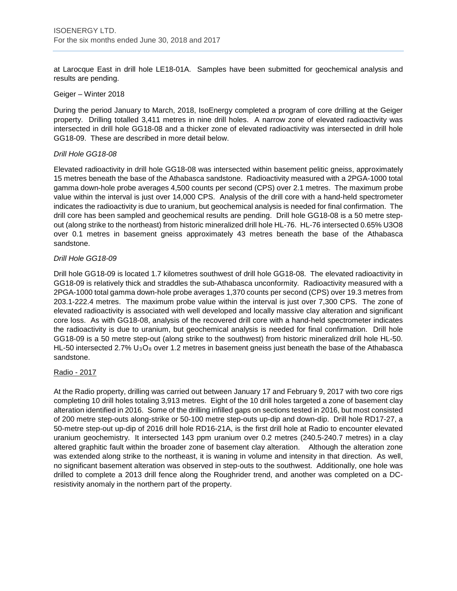at Larocque East in drill hole LE18-01A. Samples have been submitted for geochemical analysis and results are pending.

#### Geiger – Winter 2018

During the period January to March, 2018, IsoEnergy completed a program of core drilling at the Geiger property. Drilling totalled 3,411 metres in nine drill holes. A narrow zone of elevated radioactivity was intersected in drill hole GG18-08 and a thicker zone of elevated radioactivity was intersected in drill hole GG18-09. These are described in more detail below.

#### *Drill Hole GG18-08*

Elevated radioactivity in drill hole GG18-08 was intersected within basement pelitic gneiss, approximately 15 metres beneath the base of the Athabasca sandstone. Radioactivity measured with a 2PGA-1000 total gamma down-hole probe averages 4,500 counts per second (CPS) over 2.1 metres. The maximum probe value within the interval is just over 14,000 CPS. Analysis of the drill core with a hand-held spectrometer indicates the radioactivity is due to uranium, but geochemical analysis is needed for final confirmation. The drill core has been sampled and geochemical results are pending. Drill hole GG18-08 is a 50 metre stepout (along strike to the northeast) from historic mineralized drill hole HL-76. HL-76 intersected 0.65% U3O8 over 0.1 metres in basement gneiss approximately 43 metres beneath the base of the Athabasca sandstone.

# *Drill Hole GG18-09*

Drill hole GG18-09 is located 1.7 kilometres southwest of drill hole GG18-08. The elevated radioactivity in GG18-09 is relatively thick and straddles the sub-Athabasca unconformity. Radioactivity measured with a 2PGA-1000 total gamma down-hole probe averages 1,370 counts per second (CPS) over 19.3 metres from 203.1-222.4 metres. The maximum probe value within the interval is just over 7,300 CPS. The zone of elevated radioactivity is associated with well developed and locally massive clay alteration and significant core loss. As with GG18-08, analysis of the recovered drill core with a hand-held spectrometer indicates the radioactivity is due to uranium, but geochemical analysis is needed for final confirmation. Drill hole GG18-09 is a 50 metre step-out (along strike to the southwest) from historic mineralized drill hole HL-50. HL-50 intersected 2.7%  $U_3O_8$  over 1.2 metres in basement gneiss just beneath the base of the Athabasca sandstone.

#### Radio - 2017

At the Radio property, drilling was carried out between January 17 and February 9, 2017 with two core rigs completing 10 drill holes totaling 3,913 metres. Eight of the 10 drill holes targeted a zone of basement clay alteration identified in 2016. Some of the drilling infilled gaps on sections tested in 2016, but most consisted of 200 metre step-outs along-strike or 50-100 metre step-outs up-dip and down-dip. Drill hole RD17-27, a 50-metre step-out up-dip of 2016 drill hole RD16-21A, is the first drill hole at Radio to encounter elevated uranium geochemistry. It intersected 143 ppm uranium over 0.2 metres (240.5-240.7 metres) in a clay altered graphitic fault within the broader zone of basement clay alteration. Although the alteration zone was extended along strike to the northeast, it is waning in volume and intensity in that direction. As well, no significant basement alteration was observed in step-outs to the southwest. Additionally, one hole was drilled to complete a 2013 drill fence along the Roughrider trend, and another was completed on a DCresistivity anomaly in the northern part of the property.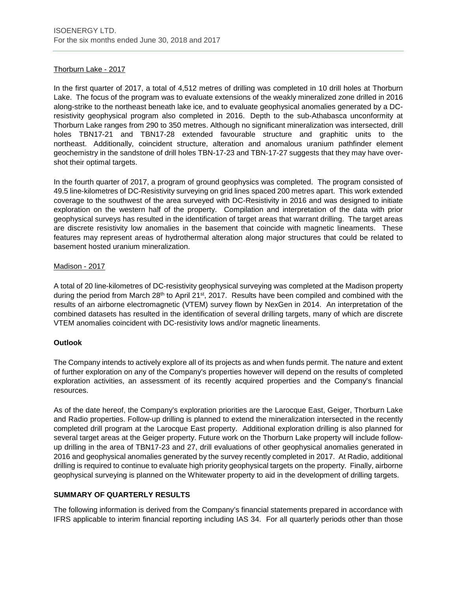# Thorburn Lake - 2017

In the first quarter of 2017, a total of 4,512 metres of drilling was completed in 10 drill holes at Thorburn Lake. The focus of the program was to evaluate extensions of the weakly mineralized zone drilled in 2016 along-strike to the northeast beneath lake ice, and to evaluate geophysical anomalies generated by a DCresistivity geophysical program also completed in 2016. Depth to the sub-Athabasca unconformity at Thorburn Lake ranges from 290 to 350 metres. Although no significant mineralization was intersected, drill holes TBN17-21 and TBN17-28 extended favourable structure and graphitic units to the northeast. Additionally, coincident structure, alteration and anomalous uranium pathfinder element geochemistry in the sandstone of drill holes TBN-17-23 and TBN-17-27 suggests that they may have overshot their optimal targets.

In the fourth quarter of 2017, a program of ground geophysics was completed. The program consisted of 49.5 line-kilometres of DC-Resistivity surveying on grid lines spaced 200 metres apart. This work extended coverage to the southwest of the area surveyed with DC-Resistivity in 2016 and was designed to initiate exploration on the western half of the property. Compilation and interpretation of the data with prior geophysical surveys has resulted in the identification of target areas that warrant drilling. The target areas are discrete resistivity low anomalies in the basement that coincide with magnetic lineaments. These features may represent areas of hydrothermal alteration along major structures that could be related to basement hosted uranium mineralization.

# Madison - 2017

A total of 20 line-kilometres of DC-resistivity geophysical surveying was completed at the Madison property during the period from March 28<sup>th</sup> to April 21<sup>st</sup>, 2017. Results have been compiled and combined with the results of an airborne electromagnetic (VTEM) survey flown by NexGen in 2014. An interpretation of the combined datasets has resulted in the identification of several drilling targets, many of which are discrete VTEM anomalies coincident with DC-resistivity lows and/or magnetic lineaments.

#### **Outlook**

The Company intends to actively explore all of its projects as and when funds permit. The nature and extent of further exploration on any of the Company's properties however will depend on the results of completed exploration activities, an assessment of its recently acquired properties and the Company's financial resources.

As of the date hereof, the Company's exploration priorities are the Larocque East, Geiger, Thorburn Lake and Radio properties. Follow-up drilling is planned to extend the mineralization intersected in the recently completed drill program at the Larocque East property. Additional exploration drilling is also planned for several target areas at the Geiger property. Future work on the Thorburn Lake property will include followup drilling in the area of TBN17-23 and 27, drill evaluations of other geophysical anomalies generated in 2016 and geophysical anomalies generated by the survey recently completed in 2017. At Radio, additional drilling is required to continue to evaluate high priority geophysical targets on the property. Finally, airborne geophysical surveying is planned on the Whitewater property to aid in the development of drilling targets.

# **SUMMARY OF QUARTERLY RESULTS**

The following information is derived from the Company's financial statements prepared in accordance with IFRS applicable to interim financial reporting including IAS 34. For all quarterly periods other than those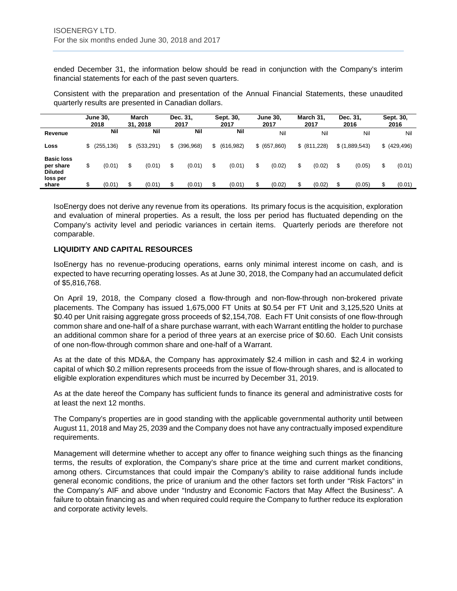ended December 31, the information below should be read in conjunction with the Company's interim financial statements for each of the past seven quarters.

Consistent with the preparation and presentation of the Annual Financial Statements, these unaudited quarterly results are presented in Canadian dollars.

|                                                              |    | <b>June 30,</b><br>2018 | March<br>31.2018 | Dec. 31,<br>2017 | Sept. 30,<br>2017 | <b>June 30.</b><br>2017 | March 31,<br>2017 | Dec. 31,<br>2016 | Sept. 30,<br>2016 |
|--------------------------------------------------------------|----|-------------------------|------------------|------------------|-------------------|-------------------------|-------------------|------------------|-------------------|
| Revenue                                                      |    | Nil                     | Nil              | Nil              | Nil               | Nil                     | Nil               | Nil              | Nil               |
| Loss                                                         | S  | (255, 136)              | \$<br>(533, 291) | \$<br>(396, 968) | \$<br>(616, 982)  | \$ (657, 860)           | \$ (811,228)      | \$(1,889,543)    | \$ (429, 496)     |
| <b>Basic loss</b><br>per share<br><b>Diluted</b><br>loss per | \$ | (0.01)                  | \$<br>(0.01)     | \$<br>(0.01)     | \$<br>(0.01)      | \$<br>(0.02)            | \$<br>(0.02)      | (0.05)           | \$<br>(0.01)      |
| share                                                        | \$ | (0.01)                  | \$<br>(0.01)     | \$<br>(0.01)     | \$<br>(0.01)      | (0.02)                  | (0.02)            | (0.05)           | \$<br>(0.01)      |

IsoEnergy does not derive any revenue from its operations. Its primary focus is the acquisition, exploration and evaluation of mineral properties. As a result, the loss per period has fluctuated depending on the Company's activity level and periodic variances in certain items. Quarterly periods are therefore not comparable.

# **LIQUIDITY AND CAPITAL RESOURCES**

IsoEnergy has no revenue-producing operations, earns only minimal interest income on cash, and is expected to have recurring operating losses. As at June 30, 2018, the Company had an accumulated deficit of \$5,816,768.

On April 19, 2018, the Company closed a flow-through and non-flow-through non-brokered private placements. The Company has issued 1,675,000 FT Units at \$0.54 per FT Unit and 3,125,520 Units at \$0.40 per Unit raising aggregate gross proceeds of \$2,154,708. Each FT Unit consists of one flow-through common share and one-half of a share purchase warrant, with each Warrant entitling the holder to purchase an additional common share for a period of three years at an exercise price of \$0.60. Each Unit consists of one non-flow-through common share and one-half of a Warrant.

As at the date of this MD&A, the Company has approximately \$2.4 million in cash and \$2.4 in working capital of which \$0.2 million represents proceeds from the issue of flow-through shares, and is allocated to eligible exploration expenditures which must be incurred by December 31, 2019.

As at the date hereof the Company has sufficient funds to finance its general and administrative costs for at least the next 12 months.

The Company's properties are in good standing with the applicable governmental authority until between August 11, 2018 and May 25, 2039 and the Company does not have any contractually imposed expenditure requirements.

Management will determine whether to accept any offer to finance weighing such things as the financing terms, the results of exploration, the Company's share price at the time and current market conditions, among others. Circumstances that could impair the Company's ability to raise additional funds include general economic conditions, the price of uranium and the other factors set forth under "Risk Factors" in the Company's AIF and above under "Industry and Economic Factors that May Affect the Business". A failure to obtain financing as and when required could require the Company to further reduce its exploration and corporate activity levels.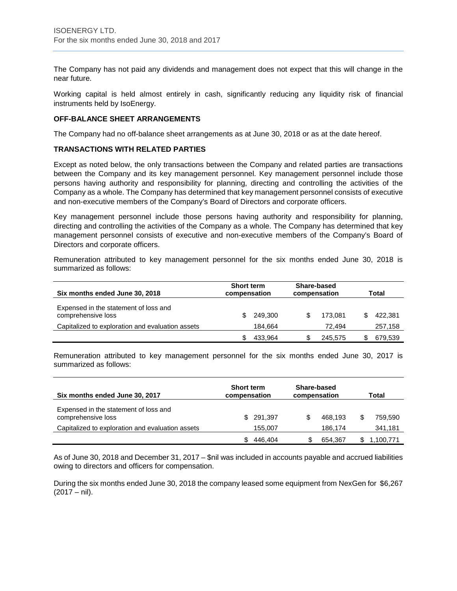The Company has not paid any dividends and management does not expect that this will change in the near future.

Working capital is held almost entirely in cash, significantly reducing any liquidity risk of financial instruments held by IsoEnergy.

# **OFF-BALANCE SHEET ARRANGEMENTS**

The Company had no off-balance sheet arrangements as at June 30, 2018 or as at the date hereof.

#### **TRANSACTIONS WITH RELATED PARTIES**

Except as noted below, the only transactions between the Company and related parties are transactions between the Company and its key management personnel. Key management personnel include those persons having authority and responsibility for planning, directing and controlling the activities of the Company as a whole. The Company has determined that key management personnel consists of executive and non-executive members of the Company's Board of Directors and corporate officers.

Key management personnel include those persons having authority and responsibility for planning, directing and controlling the activities of the Company as a whole. The Company has determined that key management personnel consists of executive and non-executive members of the Company's Board of Directors and corporate officers.

Remuneration attributed to key management personnel for the six months ended June 30, 2018 is summarized as follows:

| Six months ended June 30, 2018                              | <b>Short term</b><br>compensation | Share-based<br>compensation | Total   |  |  |
|-------------------------------------------------------------|-----------------------------------|-----------------------------|---------|--|--|
| Expensed in the statement of loss and<br>comprehensive loss | 249,300                           | 173.081                     | 422,381 |  |  |
| Capitalized to exploration and evaluation assets            | 184.664                           | 72.494                      | 257,158 |  |  |
|                                                             | 433.964                           | 245.575                     | 679,539 |  |  |

Remuneration attributed to key management personnel for the six months ended June 30, 2017 is summarized as follows:

| Six months ended June 30, 2017                              | <b>Short term</b><br>compensation | Share-based<br>compensation |         | Total |           |  |
|-------------------------------------------------------------|-----------------------------------|-----------------------------|---------|-------|-----------|--|
| Expensed in the statement of loss and<br>comprehensive loss | 291.397<br>SS.                    | S                           | 468.193 | \$    | 759,590   |  |
| Capitalized to exploration and evaluation assets            | 155,007                           |                             | 186.174 |       | 341,181   |  |
|                                                             | 446.404                           |                             | 654,367 |       | 1,100,771 |  |

As of June 30, 2018 and December 31, 2017 – \$nil was included in accounts payable and accrued liabilities owing to directors and officers for compensation.

During the six months ended June 30, 2018 the company leased some equipment from NexGen for \$6,267  $(2017 - \text{nil}).$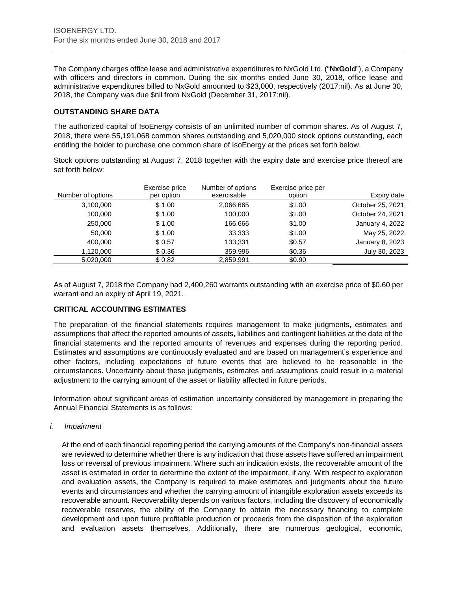The Company charges office lease and administrative expenditures to NxGold Ltd. ("**NxGold**"), a Company with officers and directors in common. During the six months ended June 30, 2018, office lease and administrative expenditures billed to NxGold amounted to \$23,000, respectively (2017:nil). As at June 30, 2018, the Company was due \$nil from NxGold (December 31, 2017:nil).

# **OUTSTANDING SHARE DATA**

The authorized capital of IsoEnergy consists of an unlimited number of common shares. As of August 7, 2018, there were 55,191,068 common shares outstanding and 5,020,000 stock options outstanding, each entitling the holder to purchase one common share of IsoEnergy at the prices set forth below.

Stock options outstanding at August 7, 2018 together with the expiry date and exercise price thereof are set forth below:

| Number of options | Exercise price<br>per option | Number of options<br>exercisable | Exercise price per<br>option | Expiry date      |
|-------------------|------------------------------|----------------------------------|------------------------------|------------------|
| 3,100,000         | \$1.00                       | 2,066,665                        | \$1.00                       | October 25, 2021 |
| 100.000           | \$1.00                       | 100.000                          | \$1.00                       | October 24, 2021 |
| 250,000           | \$1.00                       | 166,666                          | \$1.00                       | January 4, 2022  |
| 50,000            | \$1.00                       | 33,333                           | \$1.00                       | May 25, 2022     |
| 400.000           | \$0.57                       | 133.331                          | \$0.57                       | January 8, 2023  |
| 1,120,000         | \$0.36                       | 359,996                          | \$0.36                       | July 30, 2023    |
| 5,020,000         | \$0.82                       | 2,859,991                        | \$0.90                       |                  |

As of August 7, 2018 the Company had 2,400,260 warrants outstanding with an exercise price of \$0.60 per warrant and an expiry of April 19, 2021.

# **CRITICAL ACCOUNTING ESTIMATES**

The preparation of the financial statements requires management to make judgments, estimates and assumptions that affect the reported amounts of assets, liabilities and contingent liabilities at the date of the financial statements and the reported amounts of revenues and expenses during the reporting period. Estimates and assumptions are continuously evaluated and are based on management's experience and other factors, including expectations of future events that are believed to be reasonable in the circumstances. Uncertainty about these judgments, estimates and assumptions could result in a material adjustment to the carrying amount of the asset or liability affected in future periods.

Information about significant areas of estimation uncertainty considered by management in preparing the Annual Financial Statements is as follows:

*i. Impairment*

At the end of each financial reporting period the carrying amounts of the Company's non-financial assets are reviewed to determine whether there is any indication that those assets have suffered an impairment loss or reversal of previous impairment. Where such an indication exists, the recoverable amount of the asset is estimated in order to determine the extent of the impairment, if any. With respect to exploration and evaluation assets, the Company is required to make estimates and judgments about the future events and circumstances and whether the carrying amount of intangible exploration assets exceeds its recoverable amount. Recoverability depends on various factors, including the discovery of economically recoverable reserves, the ability of the Company to obtain the necessary financing to complete development and upon future profitable production or proceeds from the disposition of the exploration and evaluation assets themselves. Additionally, there are numerous geological, economic,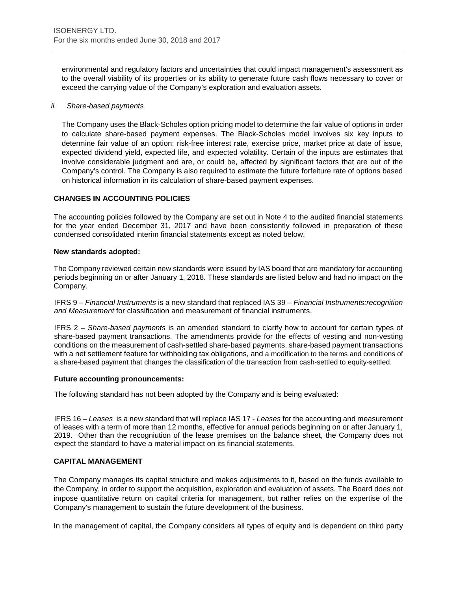environmental and regulatory factors and uncertainties that could impact management's assessment as to the overall viability of its properties or its ability to generate future cash flows necessary to cover or exceed the carrying value of the Company's exploration and evaluation assets.

#### *ii. Share-based payments*

The Company uses the Black-Scholes option pricing model to determine the fair value of options in order to calculate share-based payment expenses. The Black-Scholes model involves six key inputs to determine fair value of an option: risk-free interest rate, exercise price, market price at date of issue, expected dividend yield, expected life, and expected volatility. Certain of the inputs are estimates that involve considerable judgment and are, or could be, affected by significant factors that are out of the Company's control. The Company is also required to estimate the future forfeiture rate of options based on historical information in its calculation of share-based payment expenses.

# **CHANGES IN ACCOUNTING POLICIES**

The accounting policies followed by the Company are set out in Note 4 to the audited financial statements for the year ended December 31, 2017 and have been consistently followed in preparation of these condensed consolidated interim financial statements except as noted below.

#### **New standards adopted:**

The Company reviewed certain new standards were issued by IAS board that are mandatory for accounting periods beginning on or after January 1, 2018. These standards are listed below and had no impact on the Company.

IFRS 9 – *Financial Instruments* is a new standard that replaced IAS 39 – *Financial Instruments:recognition and Measurement* for classification and measurement of financial instruments.

IFRS 2 – *Share-based payments* is an amended standard to clarify how to account for certain types of share-based payment transactions. The amendments provide for the effects of vesting and non-vesting conditions on the measurement of cash-settled share-based payments, share-based payment transactions with a net settlement feature for withholding tax obligations, and a modification to the terms and conditions of a share-based payment that changes the classification of the transaction from cash-settled to equity-settled.

#### **Future accounting pronouncements:**

The following standard has not been adopted by the Company and is being evaluated:

IFRS 16 – *Leases* is a new standard that will replace IAS 17 - *Leases* for the accounting and measurement of leases with a term of more than 12 months, effective for annual periods beginning on or after January 1, 2019. Other than the recogniution of the lease premises on the balance sheet, the Company does not expect the standard to have a material impact on its financial statements.

#### **CAPITAL MANAGEMENT**

The Company manages its capital structure and makes adjustments to it, based on the funds available to the Company, in order to support the acquisition, exploration and evaluation of assets. The Board does not impose quantitative return on capital criteria for management, but rather relies on the expertise of the Company's management to sustain the future development of the business.

In the management of capital, the Company considers all types of equity and is dependent on third party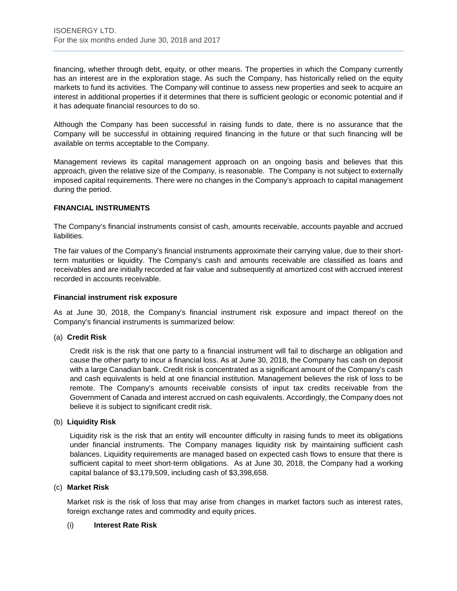financing, whether through debt, equity, or other means. The properties in which the Company currently has an interest are in the exploration stage. As such the Company, has historically relied on the equity markets to fund its activities. The Company will continue to assess new properties and seek to acquire an interest in additional properties if it determines that there is sufficient geologic or economic potential and if it has adequate financial resources to do so.

Although the Company has been successful in raising funds to date, there is no assurance that the Company will be successful in obtaining required financing in the future or that such financing will be available on terms acceptable to the Company.

Management reviews its capital management approach on an ongoing basis and believes that this approach, given the relative size of the Company, is reasonable. The Company is not subject to externally imposed capital requirements. There were no changes in the Company's approach to capital management during the period.

# **FINANCIAL INSTRUMENTS**

The Company's financial instruments consist of cash, amounts receivable, accounts payable and accrued liabilities.

The fair values of the Company's financial instruments approximate their carrying value, due to their shortterm maturities or liquidity. The Company's cash and amounts receivable are classified as loans and receivables and are initially recorded at fair value and subsequently at amortized cost with accrued interest recorded in accounts receivable.

#### **Financial instrument risk exposure**

As at June 30, 2018, the Company's financial instrument risk exposure and impact thereof on the Company's financial instruments is summarized below:

#### (a) **Credit Risk**

Credit risk is the risk that one party to a financial instrument will fail to discharge an obligation and cause the other party to incur a financial loss. As at June 30, 2018, the Company has cash on deposit with a large Canadian bank. Credit risk is concentrated as a significant amount of the Company's cash and cash equivalents is held at one financial institution. Management believes the risk of loss to be remote. The Company's amounts receivable consists of input tax credits receivable from the Government of Canada and interest accrued on cash equivalents. Accordingly, the Company does not believe it is subject to significant credit risk.

#### (b) **Liquidity Risk**

Liquidity risk is the risk that an entity will encounter difficulty in raising funds to meet its obligations under financial instruments. The Company manages liquidity risk by maintaining sufficient cash balances. Liquidity requirements are managed based on expected cash flows to ensure that there is sufficient capital to meet short-term obligations. As at June 30, 2018, the Company had a working capital balance of \$3,179,509, including cash of \$3,398,658.

#### (c) **Market Risk**

Market risk is the risk of loss that may arise from changes in market factors such as interest rates, foreign exchange rates and commodity and equity prices.

#### (i) **Interest Rate Risk**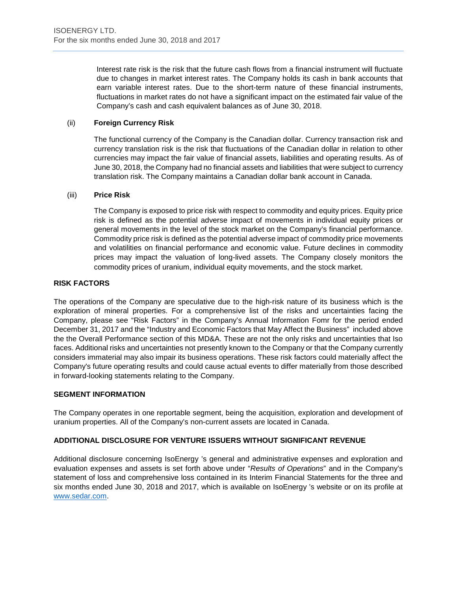Interest rate risk is the risk that the future cash flows from a financial instrument will fluctuate due to changes in market interest rates. The Company holds its cash in bank accounts that earn variable interest rates. Due to the short-term nature of these financial instruments, fluctuations in market rates do not have a significant impact on the estimated fair value of the Company's cash and cash equivalent balances as of June 30, 2018.

# (ii) **Foreign Currency Risk**

The functional currency of the Company is the Canadian dollar. Currency transaction risk and currency translation risk is the risk that fluctuations of the Canadian dollar in relation to other currencies may impact the fair value of financial assets, liabilities and operating results. As of June 30, 2018, the Company had no financial assets and liabilities that were subject to currency translation risk. The Company maintains a Canadian dollar bank account in Canada.

#### (iii) **Price Risk**

The Company is exposed to price risk with respect to commodity and equity prices. Equity price risk is defined as the potential adverse impact of movements in individual equity prices or general movements in the level of the stock market on the Company's financial performance. Commodity price risk is defined as the potential adverse impact of commodity price movements and volatilities on financial performance and economic value. Future declines in commodity prices may impact the valuation of long-lived assets. The Company closely monitors the commodity prices of uranium, individual equity movements, and the stock market.

# **RISK FACTORS**

The operations of the Company are speculative due to the high-risk nature of its business which is the exploration of mineral properties. For a comprehensive list of the risks and uncertainties facing the Company, please see "Risk Factors" in the Company's Annual Information Fomr for the period ended December 31, 2017 and the "Industry and Economic Factors that May Affect the Business" included above the the Overall Performance section of this MD&A. These are not the only risks and uncertainties that Iso faces. Additional risks and uncertainties not presently known to the Company or that the Company currently considers immaterial may also impair its business operations. These risk factors could materially affect the Company's future operating results and could cause actual events to differ materially from those described in forward-looking statements relating to the Company.

#### **SEGMENT INFORMATION**

The Company operates in one reportable segment, being the acquisition, exploration and development of uranium properties. All of the Company's non-current assets are located in Canada.

# **ADDITIONAL DISCLOSURE FOR VENTURE ISSUERS WITHOUT SIGNIFICANT REVENUE**

Additional disclosure concerning IsoEnergy 's general and administrative expenses and exploration and evaluation expenses and assets is set forth above under "*Results of Operations*" and in the Company's statement of loss and comprehensive loss contained in its Interim Financial Statements for the three and six months ended June 30, 2018 and 2017, which is available on IsoEnergy 's website or on its profile at [www.sedar.com.](http://www.sedar.com/)